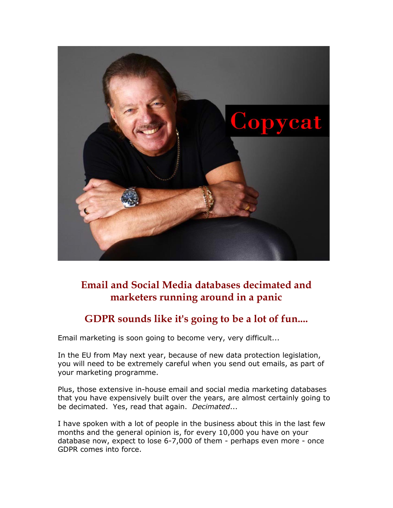

## **Email and Social Media databases decimated and marketers running around in a panic**

## **GDPR sounds like it's going to be a lot of fun....**

Email marketing is soon going to become very, very difficult...

In the EU from May next year, because of new data protection legislation, you will need to be extremely careful when you send out emails, as part of your marketing programme.

Plus, those extensive in-house email and social media marketing databases that you have expensively built over the years, are almost certainly going to be decimated. Yes, read that again. *Decimated*...

I have spoken with a lot of people in the business about this in the last few months and the general opinion is, for every 10,000 you have on your database now, expect to lose 6-7,000 of them - perhaps even more - once GDPR comes into force.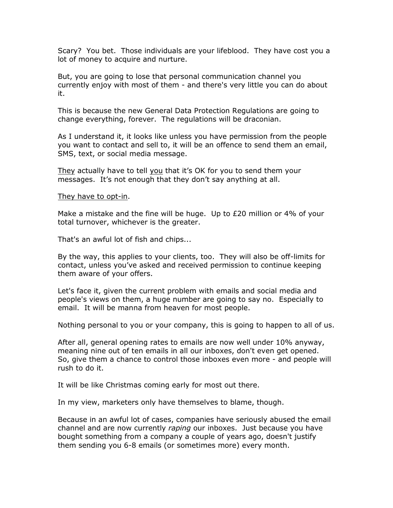Scary? You bet. Those individuals are your lifeblood. They have cost you a lot of money to acquire and nurture.

But, you are going to lose that personal communication channel you currently enjoy with most of them - and there's very little you can do about it.

This is because the new General Data Protection Regulations are going to change everything, forever. The regulations will be draconian.

As I understand it, it looks like unless you have permission from the people you want to contact and sell to, it will be an offence to send them an email, SMS, text, or social media message.

They actually have to tell you that it's OK for you to send them your messages. It's not enough that they don't say anything at all.

They have to opt-in.

Make a mistake and the fine will be huge. Up to  $E20$  million or 4% of your total turnover, whichever is the greater.

That's an awful lot of fish and chips...

By the way, this applies to your clients, too. They will also be off-limits for contact, unless you've asked and received permission to continue keeping them aware of your offers.

Let's face it, given the current problem with emails and social media and people's views on them, a huge number are going to say no. Especially to email. It will be manna from heaven for most people.

Nothing personal to you or your company, this is going to happen to all of us.

After all, general opening rates to emails are now well under 10% anyway, meaning nine out of ten emails in all our inboxes, don't even get opened. So, give them a chance to control those inboxes even more - and people will rush to do it.

It will be like Christmas coming early for most out there.

In my view, marketers only have themselves to blame, though.

Because in an awful lot of cases, companies have seriously abused the email channel and are now currently *raping* our inboxes. Just because you have bought something from a company a couple of years ago, doesn't justify them sending you 6-8 emails (or sometimes more) every month.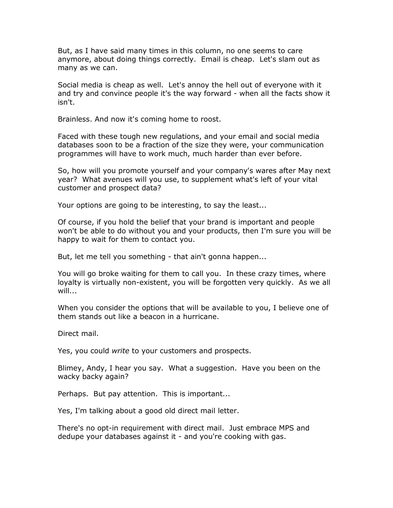But, as I have said many times in this column, no one seems to care anymore, about doing things correctly. Email is cheap. Let's slam out as many as we can.

Social media is cheap as well. Let's annoy the hell out of everyone with it and try and convince people it's the way forward - when all the facts show it isn't.

Brainless. And now it's coming home to roost.

Faced with these tough new regulations, and your email and social media databases soon to be a fraction of the size they were, your communication programmes will have to work much, much harder than ever before.

So, how will you promote yourself and your company's wares after May next year? What avenues will you use, to supplement what's left of your vital customer and prospect data?

Your options are going to be interesting, to say the least...

Of course, if you hold the belief that your brand is important and people won't be able to do without you and your products, then I'm sure you will be happy to wait for them to contact you.

But, let me tell you something - that ain't gonna happen...

You will go broke waiting for them to call you. In these crazy times, where loyalty is virtually non-existent, you will be forgotten very quickly. As we all will...

When you consider the options that will be available to you, I believe one of them stands out like a beacon in a hurricane.

Direct mail.

Yes, you could *write* to your customers and prospects.

Blimey, Andy, I hear you say. What a suggestion. Have you been on the wacky backy again?

Perhaps. But pay attention. This is important...

Yes, I'm talking about a good old direct mail letter.

There's no opt-in requirement with direct mail. Just embrace MPS and dedupe your databases against it - and you're cooking with gas.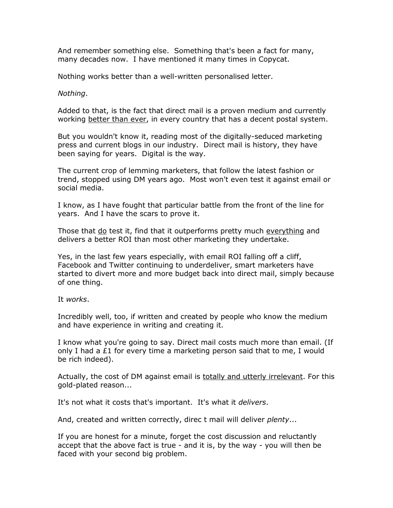And remember something else. Something that's been a fact for many, many decades now. I have mentioned it many times in Copycat.

Nothing works better than a well-written personalised letter.

## *Nothing*.

Added to that, is the fact that direct mail is a proven medium and currently working better than ever, in every country that has a decent postal system.

But you wouldn't know it, reading most of the digitally-seduced marketing press and current blogs in our industry. Direct mail is history, they have been saying for years. Digital is the way.

The current crop of lemming marketers, that follow the latest fashion or trend, stopped using DM years ago. Most won't even test it against email or social media.

I know, as I have fought that particular battle from the front of the line for years. And I have the scars to prove it.

Those that do test it, find that it outperforms pretty much everything and delivers a better ROI than most other marketing they undertake.

Yes, in the last few years especially, with email ROI falling off a cliff, Facebook and Twitter continuing to underdeliver, smart marketers have started to divert more and more budget back into direct mail, simply because of one thing.

It *works*.

Incredibly well, too, if written and created by people who know the medium and have experience in writing and creating it.

I know what you're going to say. Direct mail costs much more than email. (If only I had a  $E1$  for every time a marketing person said that to me, I would be rich indeed).

Actually, the cost of DM against email is totally and utterly irrelevant. For this gold-plated reason...

It's not what it costs that's important. It's what it *delivers*.

And, created and written correctly, direc t mail will deliver *plenty*...

If you are honest for a minute, forget the cost discussion and reluctantly accept that the above fact is true - and it is, by the way - you will then be faced with your second big problem.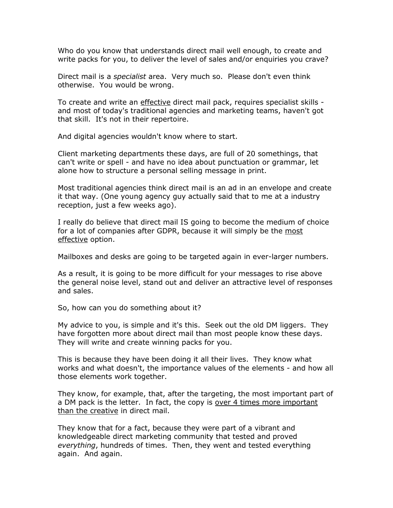Who do you know that understands direct mail well enough, to create and write packs for you, to deliver the level of sales and/or enquiries you crave?

Direct mail is a *specialist* area. Very much so. Please don't even think otherwise. You would be wrong.

To create and write an effective direct mail pack, requires specialist skills and most of today's traditional agencies and marketing teams, haven't got that skill. It's not in their repertoire.

And digital agencies wouldn't know where to start.

Client marketing departments these days, are full of 20 somethings, that can't write or spell - and have no idea about punctuation or grammar, let alone how to structure a personal selling message in print.

Most traditional agencies think direct mail is an ad in an envelope and create it that way. (One young agency guy actually said that to me at a industry reception, just a few weeks ago).

I really do believe that direct mail IS going to become the medium of choice for a lot of companies after GDPR, because it will simply be the most effective option.

Mailboxes and desks are going to be targeted again in ever-larger numbers.

As a result, it is going to be more difficult for your messages to rise above the general noise level, stand out and deliver an attractive level of responses and sales.

So, how can you do something about it?

My advice to you, is simple and it's this. Seek out the old DM liggers. They have forgotten more about direct mail than most people know these days. They will write and create winning packs for you.

This is because they have been doing it all their lives. They know what works and what doesn't, the importance values of the elements - and how all those elements work together.

They know, for example, that, after the targeting, the most important part of a DM pack is the letter. In fact, the copy is over 4 times more important than the creative in direct mail.

They know that for a fact, because they were part of a vibrant and knowledgeable direct marketing community that tested and proved *everything*, hundreds of times. Then, they went and tested everything again. And again.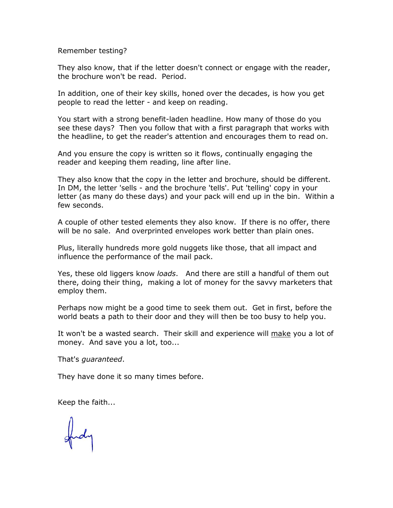Remember testing?

They also know, that if the letter doesn't connect or engage with the reader, the brochure won't be read. Period.

In addition, one of their key skills, honed over the decades, is how you get people to read the letter - and keep on reading.

You start with a strong benefit-laden headline. How many of those do you see these days? Then you follow that with a first paragraph that works with the headline, to get the reader's attention and encourages them to read on.

And you ensure the copy is written so it flows, continually engaging the reader and keeping them reading, line after line.

They also know that the copy in the letter and brochure, should be different. In DM, the letter 'sells - and the brochure 'tells'. Put 'telling' copy in your letter (as many do these days) and your pack will end up in the bin. Within a few seconds.

A couple of other tested elements they also know. If there is no offer, there will be no sale. And overprinted envelopes work better than plain ones.

Plus, literally hundreds more gold nuggets like those, that all impact and influence the performance of the mail pack.

Yes, these old liggers know *loads*. And there are still a handful of them out there, doing their thing, making a lot of money for the savvy marketers that employ them.

Perhaps now might be a good time to seek them out. Get in first, before the world beats a path to their door and they will then be too busy to help you.

It won't be a wasted search. Their skill and experience will make you a lot of money. And save you a lot, too...

That's *guaranteed*.

They have done it so many times before.

Keep the faith...